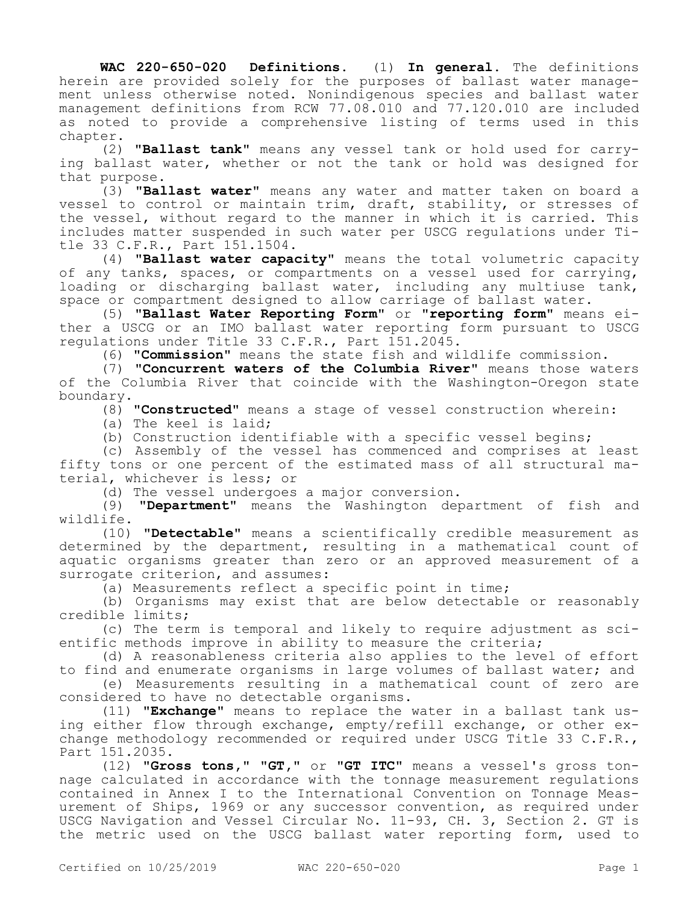**WAC 220-650-020 Definitions.** (1) **In general.** The definitions herein are provided solely for the purposes of ballast water management unless otherwise noted. Nonindigenous species and ballast water management definitions from RCW 77.08.010 and 77.120.010 are included as noted to provide a comprehensive listing of terms used in this chapter.

(2) **"Ballast tank"** means any vessel tank or hold used for carrying ballast water, whether or not the tank or hold was designed for that purpose.

(3) **"Ballast water"** means any water and matter taken on board a vessel to control or maintain trim, draft, stability, or stresses of the vessel, without regard to the manner in which it is carried. This includes matter suspended in such water per USCG regulations under Title 33 C.F.R., Part 151.1504.

(4) **"Ballast water capacity"** means the total volumetric capacity of any tanks, spaces, or compartments on a vessel used for carrying, loading or discharging ballast water, including any multiuse tank, space or compartment designed to allow carriage of ballast water.

(5) **"Ballast Water Reporting Form"** or **"reporting form"** means either a USCG or an IMO ballast water reporting form pursuant to USCG regulations under Title 33 C.F.R., Part 151.2045.

(6) **"Commission"** means the state fish and wildlife commission.

(7) **"Concurrent waters of the Columbia River"** means those waters of the Columbia River that coincide with the Washington-Oregon state boundary.

(8) **"Constructed"** means a stage of vessel construction wherein:

(a) The keel is laid;

(b) Construction identifiable with a specific vessel begins;

(c) Assembly of the vessel has commenced and comprises at least fifty tons or one percent of the estimated mass of all structural material, whichever is less; or

(d) The vessel undergoes a major conversion.

(9) **"Department"** means the Washington department of fish and wildlife.

(10) **"Detectable"** means a scientifically credible measurement as determined by the department, resulting in a mathematical count of aquatic organisms greater than zero or an approved measurement of a surrogate criterion, and assumes:

(a) Measurements reflect a specific point in time;

(b) Organisms may exist that are below detectable or reasonably credible limits;

(c) The term is temporal and likely to require adjustment as scientific methods improve in ability to measure the criteria;

(d) A reasonableness criteria also applies to the level of effort to find and enumerate organisms in large volumes of ballast water; and

(e) Measurements resulting in a mathematical count of zero are considered to have no detectable organisms.

(11) **"Exchange"** means to replace the water in a ballast tank using either flow through exchange, empty/refill exchange, or other exchange methodology recommended or required under USCG Title 33 C.F.R., Part 151.2035.

(12) **"Gross tons," "GT,"** or **"GT ITC"** means a vessel's gross tonnage calculated in accordance with the tonnage measurement regulations contained in Annex I to the International Convention on Tonnage Measurement of Ships, 1969 or any successor convention, as required under USCG Navigation and Vessel Circular No. 11-93, CH. 3, Section 2. GT is the metric used on the USCG ballast water reporting form, used to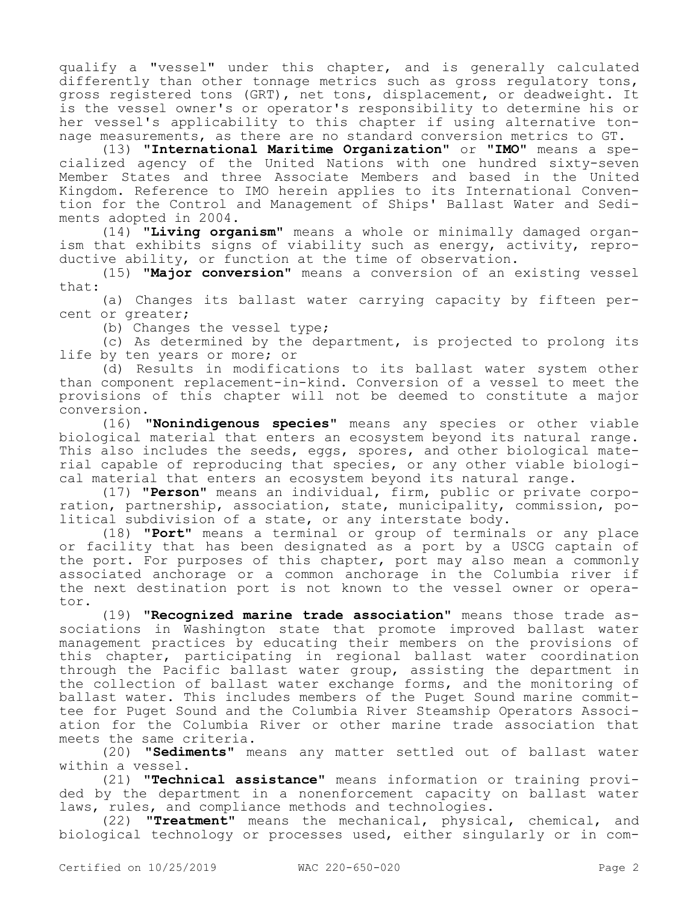qualify a "vessel" under this chapter, and is generally calculated differently than other tonnage metrics such as gross regulatory tons, gross registered tons (GRT), net tons, displacement, or deadweight. It is the vessel owner's or operator's responsibility to determine his or her vessel's applicability to this chapter if using alternative tonnage measurements, as there are no standard conversion metrics to GT.

(13) **"International Maritime Organization"** or **"IMO"** means a specialized agency of the United Nations with one hundred sixty-seven Member States and three Associate Members and based in the United Kingdom. Reference to IMO herein applies to its International Convention for the Control and Management of Ships' Ballast Water and Sediments adopted in 2004.

(14) **"Living organism"** means a whole or minimally damaged organism that exhibits signs of viability such as energy, activity, reproductive ability, or function at the time of observation.

(15) **"Major conversion"** means a conversion of an existing vessel that:

(a) Changes its ballast water carrying capacity by fifteen percent or greater;

(b) Changes the vessel type;

(c) As determined by the department, is projected to prolong its life by ten years or more; or

(d) Results in modifications to its ballast water system other than component replacement-in-kind. Conversion of a vessel to meet the provisions of this chapter will not be deemed to constitute a major conversion.

(16) **"Nonindigenous species"** means any species or other viable biological material that enters an ecosystem beyond its natural range. This also includes the seeds, eggs, spores, and other biological material capable of reproducing that species, or any other viable biological material that enters an ecosystem beyond its natural range.

(17) **"Person"** means an individual, firm, public or private corporation, partnership, association, state, municipality, commission, political subdivision of a state, or any interstate body.

(18) **"Port"** means a terminal or group of terminals or any place or facility that has been designated as a port by a USCG captain of the port. For purposes of this chapter, port may also mean a commonly associated anchorage or a common anchorage in the Columbia river if the next destination port is not known to the vessel owner or operator.

(19) **"Recognized marine trade association"** means those trade associations in Washington state that promote improved ballast water management practices by educating their members on the provisions of this chapter, participating in regional ballast water coordination through the Pacific ballast water group, assisting the department in the collection of ballast water exchange forms, and the monitoring of ballast water. This includes members of the Puget Sound marine committee for Puget Sound and the Columbia River Steamship Operators Association for the Columbia River or other marine trade association that meets the same criteria.

(20) **"Sediments"** means any matter settled out of ballast water within a vessel.

(21) **"Technical assistance"** means information or training provided by the department in a nonenforcement capacity on ballast water laws, rules, and compliance methods and technologies.

(22) **"Treatment"** means the mechanical, physical, chemical, and biological technology or processes used, either singularly or in com